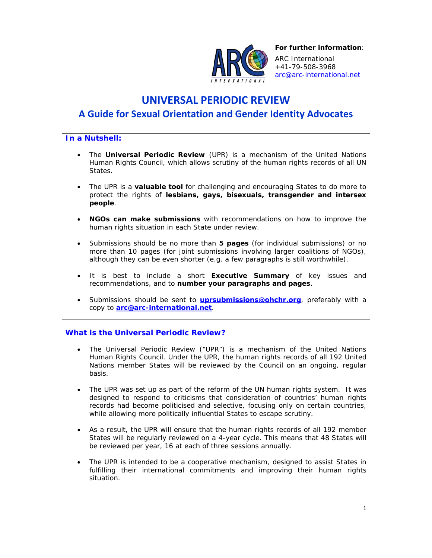

*For further information*:

ARC International +41-79-508-3968 arc@arc-international.net

# **UNIVERSAL PERIODIC REVIEW**

## **A Guide for Sexual Orientation and Gender Identity Advocates**

## *In a Nutshell:*

- The **Universal Periodic Review** (UPR) is a mechanism of the United Nations Human Rights Council, which allows scrutiny of the human rights records of all UN States.
- The UPR is a **valuable tool** for challenging and encouraging States to do more to protect the rights of **lesbians, gays, bisexuals, transgender and intersex people**.
- **NGOs can make submissions** with recommendations on how to improve the human rights situation in each State under review.
- Submissions should be no more than **5 pages** (for individual submissions) or no more than 10 pages (for joint submissions involving larger coalitions of NGOs), although they can be even shorter (e.g. a few paragraphs is still worthwhile).
- It is best to include a short **Executive Summary** of key issues and recommendations, and to **number your paragraphs and pages**.
- Submissions should be sent to **uprsubmissions@ohchr.org**, preferably with a copy to **arc@arc-international.net**.

## *What is the Universal Periodic Review?*

- The Universal Periodic Review ("UPR") is a mechanism of the United Nations Human Rights Council. Under the UPR, the human rights records of all 192 United Nations member States will be reviewed by the Council on an ongoing, regular basis.
- The UPR was set up as part of the reform of the UN human rights system. It was designed to respond to criticisms that consideration of countries' human rights records had become politicised and selective, focusing only on certain countries, while allowing more politically influential States to escape scrutiny.
- As a result, the UPR will ensure that the human rights records of all 192 member States will be regularly reviewed on a 4-year cycle. This means that 48 States will be reviewed per year, 16 at each of three sessions annually.
- The UPR is intended to be a cooperative mechanism, designed to assist States in fulfilling their international commitments and improving their human rights situation.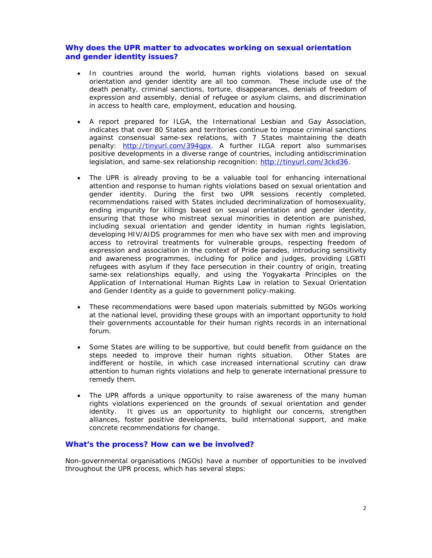### *Why does the UPR matter to advocates working on sexual orientation and gender identity issues?*

- In countries around the world, human rights violations based on sexual orientation and gender identity are all too common. These include use of the death penalty, criminal sanctions, torture, disappearances, denials of freedom of expression and assembly, denial of refugee or asylum claims, and discrimination in access to health care, employment, education and housing.
- A report prepared for ILGA, the International Lesbian and Gay Association, indicates that over 80 States and territories continue to impose criminal sanctions against consensual same-sex relations, with 7 States maintaining the death penalty: http://tinyurl.com/394gpx. A further ILGA report also summarises positive developments in a diverse range of countries, including antidiscrimination legislation, and same-sex relationship recognition: http://tinyurl.com/3ckd36.
- The UPR is already proving to be a valuable tool for enhancing international attention and response to human rights violations based on sexual orientation and gender identity. During the first two UPR sessions recently completed, recommendations raised with States included decriminalization of homosexuality, ending impunity for killings based on sexual orientation and gender identity, ensuring that those who mistreat sexual minorities in detention are punished, including sexual orientation and gender identity in human rights legislation, developing HIV/AIDS programmes for men who have sex with men and improving access to retroviral treatments for vulnerable groups, respecting freedom of expression and association in the context of Pride parades, introducing sensitivity and awareness programmes, including for police and judges, providing LGBTI refugees with asylum if they face persecution in their country of origin, treating same-sex relationships equally, and using the *Yogyakarta Principles on the Application of International Human Rights Law in relation to Sexual Orientation and Gender Identity* as a guide to government policy-making.
- These recommendations were based upon materials submitted by NGOs working at the national level, providing these groups with an important opportunity to hold their governments accountable for their human rights records in an international forum.
- Some States are willing to be supportive, but could benefit from guidance on the steps needed to improve their human rights situation. Other States are indifferent or hostile, in which case increased international scrutiny can draw attention to human rights violations and help to generate international pressure to remedy them.
- The UPR affords a unique opportunity to raise awareness of the many human rights violations experienced on the grounds of sexual orientation and gender identity. It gives us an opportunity to highlight our concerns, strengthen alliances, foster positive developments, build international support, and make concrete recommendations for change.

#### *What's the process? How can we be involved?*

Non-governmental organisations (NGOs) have a number of opportunities to be involved throughout the UPR process, which has several steps: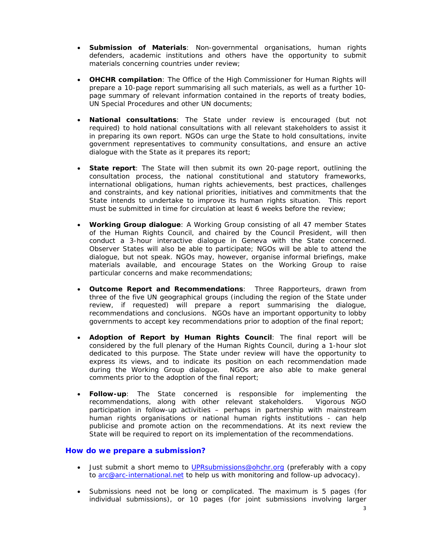- **Submission of Materials**: Non-governmental organisations, human rights defenders, academic institutions and others have the opportunity to submit materials concerning countries under review;
- **OHCHR compilation**: The Office of the High Commissioner for Human Rights will prepare a 10-page report summarising all such materials, as well as a further 10 page summary of relevant information contained in the reports of treaty bodies, UN Special Procedures and other UN documents;
- **National consultations**: The State under review is encouraged (but not required) to hold national consultations with all relevant stakeholders to assist it in preparing its own report. NGOs can urge the State to hold consultations, invite government representatives to community consultations, and ensure an active dialogue with the State as it prepares its report;
- **State report**: The State will then submit its own 20-page report, outlining the consultation process, the national constitutional and statutory frameworks, international obligations, human rights achievements, best practices, challenges and constraints, and key national priorities, initiatives and commitments that the State intends to undertake to improve its human rights situation. This report must be submitted in time for circulation at least 6 weeks before the review;
- **Working Group dialogue**: A Working Group consisting of all 47 member States of the Human Rights Council, and chaired by the Council President, will then conduct a 3-hour interactive dialogue in Geneva with the State concerned. Observer States will also be able to participate; NGOs will be able to attend the dialogue, but not speak. NGOs may, however, organise informal briefings, make materials available, and encourage States on the Working Group to raise particular concerns and make recommendations;
- **Outcome Report and Recommendations**: Three Rapporteurs, drawn from three of the five UN geographical groups (including the region of the State under review, if requested) will prepare a report summarising the dialogue, recommendations and conclusions. NGOs have an important opportunity to lobby governments to accept key recommendations prior to adoption of the final report;
- **Adoption of Report by Human Rights Council**: The final report will be considered by the full plenary of the Human Rights Council, during a 1-hour slot dedicated to this purpose. The State under review will have the opportunity to express its views, and to indicate its position on each recommendation made during the Working Group dialogue. NGOs are also able to make general comments prior to the adoption of the final report;
- **Follow-up**: The State concerned is responsible for implementing the recommendations, along with other relevant stakeholders. Vigorous NGO participation in follow-up activities – perhaps in partnership with mainstream human rights organisations or national human rights institutions - can help publicise and promote action on the recommendations. At its next review the State will be required to report on its implementation of the recommendations.

#### *How do we prepare a submission?*

- Just submit a short memo to UPRsubmissions@ohchr.org (preferably with a copy to arc@arc-international.net to help us with monitoring and follow-up advocacy).
- Submissions need not be long or complicated. The maximum is 5 pages (for individual submissions), or 10 pages (for joint submissions involving larger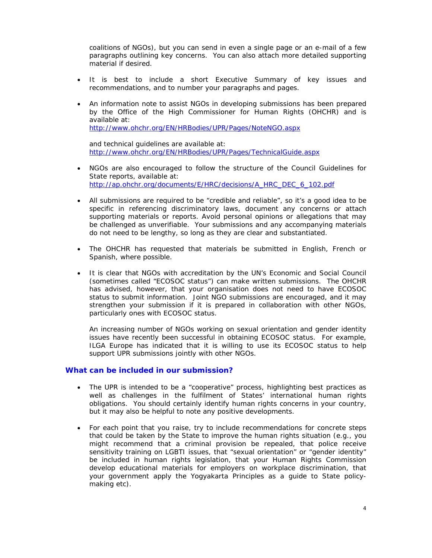coalitions of NGOs), but you can send in even a single page or an e-mail of a few paragraphs outlining key concerns. You can also attach more detailed supporting material if desired.

- It is best to include a short Executive Summary of key issues and recommendations, and to number your paragraphs and pages.
- An information note to assist NGOs in developing submissions has been prepared by the Office of the High Commissioner for Human Rights (OHCHR) and is available at: http://www.ohchr.org/EN/HRBodies/UPR/Pages/NoteNGO.aspx

and technical guidelines are available at: http://www.ohchr.org/EN/HRBodies/UPR/Pages/TechnicalGuide.aspx

- NGOs are also encouraged to follow the structure of the Council Guidelines for State reports, available at: http://ap.ohchr.org/documents/E/HRC/decisions/A\_HRC\_DEC\_6\_102.pdf
- All submissions are required to be "credible and reliable", so it's a good idea to be specific in referencing discriminatory laws, document any concerns or attach supporting materials or reports. Avoid personal opinions or allegations that may be challenged as unverifiable. Your submissions and any accompanying materials do not need to be lengthy, so long as they are clear and substantiated.
- The OHCHR has requested that materials be submitted in English, French or Spanish, where possible.
- It is clear that NGOs with accreditation by the UN's Economic and Social Council (sometimes called "ECOSOC status") can make written submissions. The OHCHR has advised, however, that your organisation does not need to have ECOSOC status to submit information. Joint NGO submissions are encouraged, and it may strengthen your submission if it is prepared in collaboration with other NGOs, particularly ones with ECOSOC status.

An increasing number of NGOs working on sexual orientation and gender identity issues have recently been successful in obtaining ECOSOC status. For example, ILGA Europe has indicated that it is willing to use its ECOSOC status to help support UPR submissions jointly with other NGOs.

#### *What can be included in our submission?*

- The UPR is intended to be a "cooperative" process, highlighting best practices as well as challenges in the fulfilment of States' international human rights obligations. You should certainly identify human rights concerns in your country, but it may also be helpful to note any positive developments.
- For each point that you raise, try to include recommendations for concrete steps that could be taken by the State to improve the human rights situation (e.g., you might recommend that a criminal provision be repealed, that police receive sensitivity training on LGBTI issues, that "sexual orientation" or "gender identity" be included in human rights legislation, that your Human Rights Commission develop educational materials for employers on workplace discrimination, that your government apply the *Yogyakarta Principles* as a guide to State policymaking etc).